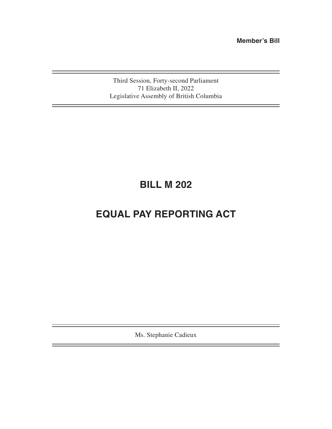**Member's Bill**

Third Session, Forty-second Parliament 71 Elizabeth II, 2022 Legislative Assembly of British Columbia

# **BILL M 202**

# **EQUAL PAY REPORTING ACT**

Ms. Stephanie Cadieux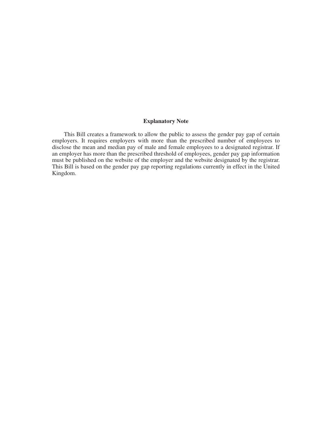#### **Explanatory Note**

This Bill creates a framework to allow the public to assess the gender pay gap of certain employers. It requires employers with more than the prescribed number of employees to disclose the mean and median pay of male and female employees to a designated registrar. If an employer has more than the prescribed threshold of employees, gender pay gap information must be published on the website of the employer and the website designated by the registrar. This Bill is based on the gender pay gap reporting regulations currently in effect in the United Kingdom.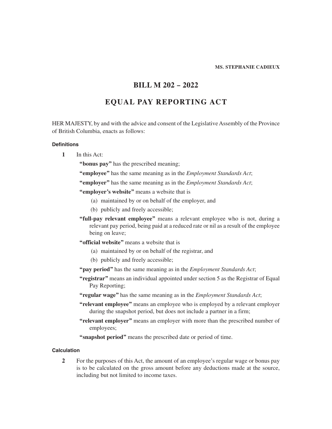#### **MS. STEPHANIE CADIEUX**

## **BILL M 202 – 2022**

## **EQUAL PAY REPORTING ACT**

HER MAJESTY, by and with the advice and consent of the Legislative Assembly of the Province of British Columbia, enacts as follows:

#### **Definitions**

- **1** In this Act:
	- **"bonus pay"** has the prescribed meaning;
	- **"employee"** has the same meaning as in the *Employment Standards Act*;
	- **"employer"** has the same meaning as in the *Employment Standards Act*;
	- **"employer's website"** means a website that is
		- (a) maintained by or on behalf of the employer, and
		- (b) publicly and freely accessible;
	- **"full-pay relevant employee"** means a relevant employee who is not, during a relevant pay period, being paid at a reduced rate or nil as a result of the employee being on leave;
	- **"official website"** means a website that is
		- (a) maintained by or on behalf of the registrar, and
		- (b) publicly and freely accessible;
	- **"pay period"** has the same meaning as in the *Employment Standards Act*;
	- **"registrar"** means an individual appointed under section 5 as the Registrar of Equal Pay Reporting;
	- **"regular wage"** has the same meaning as in the *Employment Standards Act*;
	- **"relevant employee"** means an employee who is employed by a relevant employer during the snapshot period, but does not include a partner in a firm;
	- **"relevant employer"** means an employer with more than the prescribed number of employees;
	- **"snapshot period"** means the prescribed date or period of time.

#### **Calculation**

**2** For the purposes of this Act, the amount of an employee's regular wage or bonus pay is to be calculated on the gross amount before any deductions made at the source, including but not limited to income taxes.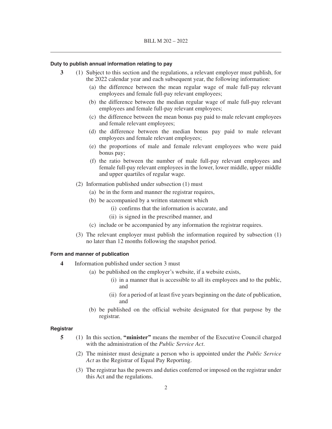#### **Duty to publish annual information relating to pay**

- **3** (1) Subject to this section and the regulations, a relevant employer must publish, for the 2022 calendar year and each subsequent year, the following information:
	- (a) the difference between the mean regular wage of male full-pay relevant employees and female full-pay relevant employees;
	- (b) the difference between the median regular wage of male full-pay relevant employees and female full-pay relevant employees;
	- (c) the difference between the mean bonus pay paid to male relevant employees and female relevant employees;
	- (d) the difference between the median bonus pay paid to male relevant employees and female relevant employees;
	- (e) the proportions of male and female relevant employees who were paid bonus pay;
	- (f) the ratio between the number of male full-pay relevant employees and female full-pay relevant employees in the lower, lower middle, upper middle and upper quartiles of regular wage.
	- (2) Information published under subsection (1) must
		- (a) be in the form and manner the registrar requires,
		- (b) be accompanied by a written statement which
			- (i) confirms that the information is accurate, and
			- (ii) is signed in the prescribed manner, and
		- (c) include or be accompanied by any information the registrar requires.
	- (3) The relevant employer must publish the information required by subsection (1) no later than 12 months following the snapshot period.

#### **Form and manner of publication**

- **4** Information published under section 3 must
	- (a) be published on the employer's website, if a website exists,
		- (i) in a manner that is accessible to all its employees and to the public, and
		- (ii) for a period of at least five years beginning on the date of publication, and
	- (b) be published on the official website designated for that purpose by the registrar.

#### **Registrar**

- **5** (1) In this section, **"minister"** means the member of the Executive Council charged with the administration of the *Public Service Act*.
	- (2) The minister must designate a person who is appointed under the *Public Service Act* as the Registrar of Equal Pay Reporting.
	- (3) The registrar has the powers and duties conferred or imposed on the registrar under this Act and the regulations.